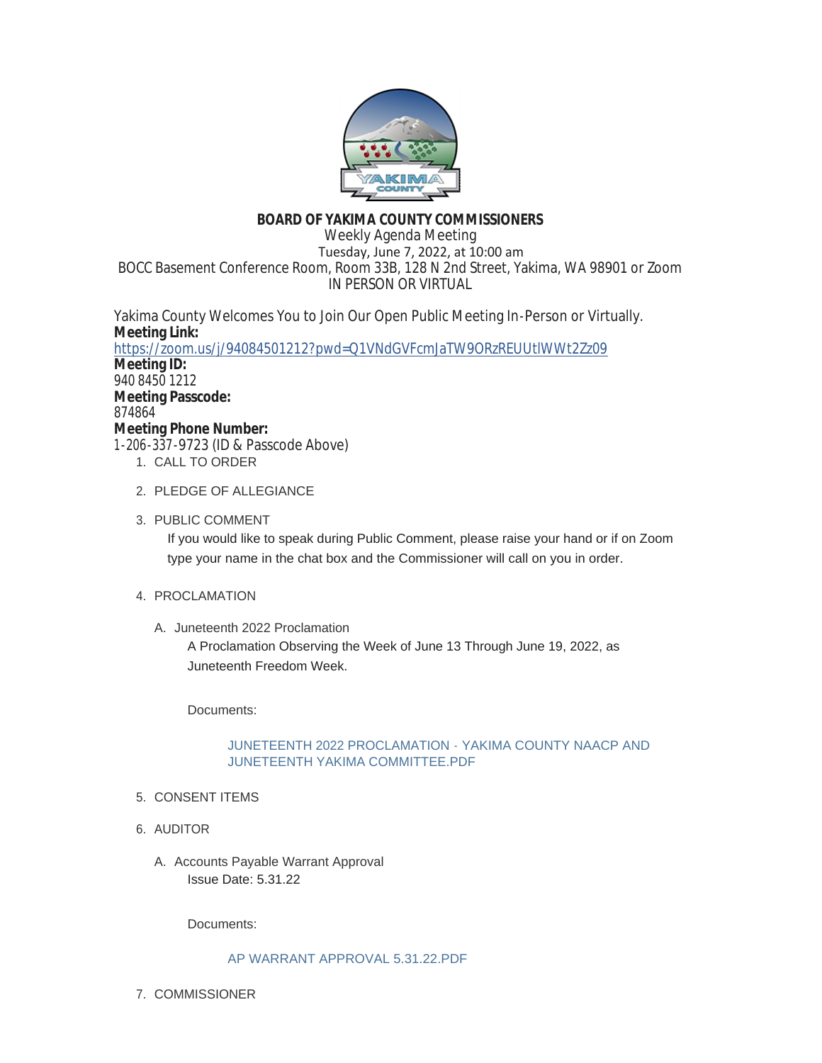

# **BOARD OF YAKIMA COUNTY COMMISSIONERS**

Weekly Agenda Meeting Tuesday, June 7, 2022, at 10:00 am BOCC Basement Conference Room, Room 33B, 128 N 2nd Street, Yakima, WA 98901 or Zoom IN PERSON OR VIRTUAL

Yakima County Welcomes You to Join Our Open Public Meeting In-Person or Virtually. **Meeting Link:** <https://zoom.us/j/94084501212?pwd=Q1VNdGVFcmJaTW9ORzREUUtlWWt2Zz09> **Meeting ID:** 940 8450 1212 **Meeting Passcode:** 874864 **Meeting Phone Number:** 1-206-337-9723 (ID & Passcode Above)

- 1. CALL TO ORDER
- 2. PLEDGE OF ALLEGIANCE
- 3. PUBLIC COMMENT

If you would like to speak during Public Comment, please raise your hand or if on Zoom type your name in the chat box and the Commissioner will call on you in order.

- 4. PROCLAMATION
	- A. Juneteenth 2022 Proclamation

A Proclamation Observing the Week of June 13 Through June 19, 2022, as Juneteenth Freedom Week.

Documents:

# [JUNETEENTH 2022 PROCLAMATION - YAKIMA COUNTY NAACP AND](https://www.yakimacounty.us/AgendaCenter/ViewFile/Item/4581?fileID=16269)  JUNETEENTH YAKIMA COMMITTEE.PDF

- 5. CONSENT ITEMS
- 6. AUDITOR
	- A. Accounts Payable Warrant Approval Issue Date: 5.31.22

Documents:

# [AP WARRANT APPROVAL 5.31.22.PDF](https://www.yakimacounty.us/AgendaCenter/ViewFile/Item/4575?fileID=16263)

7. COMMISSIONER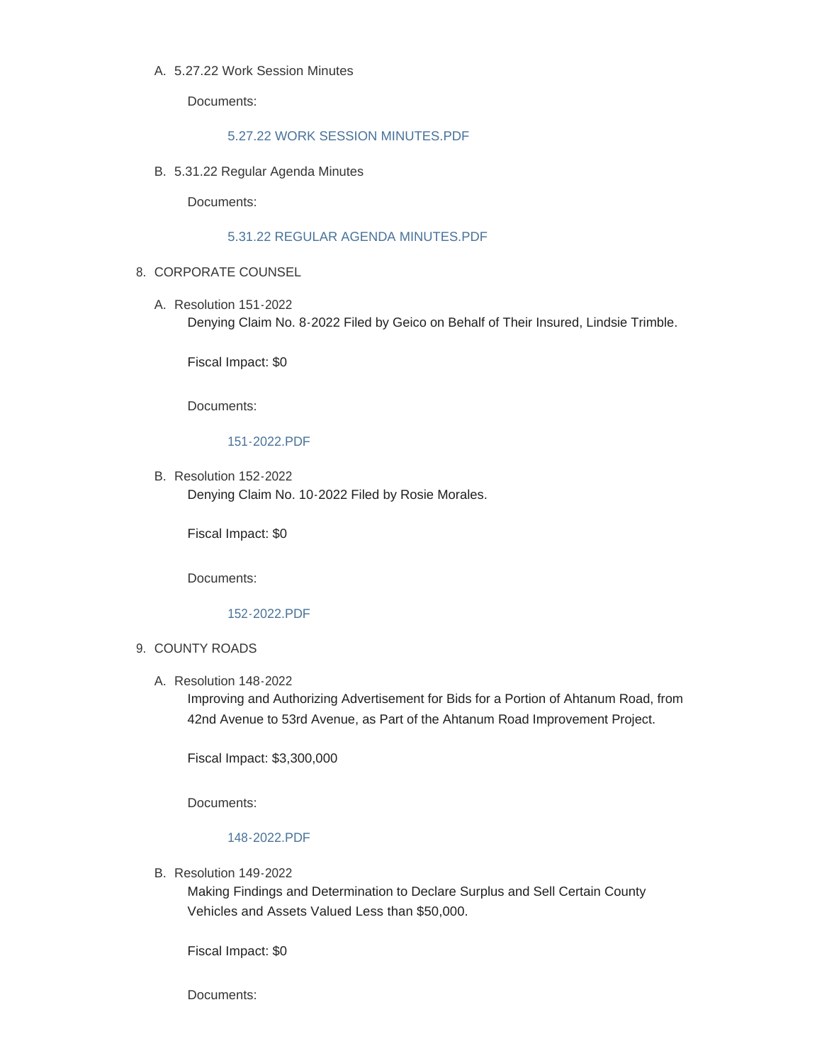## 5.27.22 Work Session Minutes A.

Documents:

# [5.27.22 WORK SESSION MINUTES.PDF](https://www.yakimacounty.us/AgendaCenter/ViewFile/Item/4566?fileID=16254)

5.31.22 Regular Agenda Minutes B.

Documents:

## [5.31.22 REGULAR AGENDA MINUTES.PDF](https://www.yakimacounty.us/AgendaCenter/ViewFile/Item/4567?fileID=16255)

- 8. CORPORATE COUNSEL
	- Resolution 151-2022 A. Denying Claim No. 8-2022 Filed by Geico on Behalf of Their Insured, Lindsie Trimble.

Fiscal Impact: \$0

Documents:

### [151-2022.PDF](https://www.yakimacounty.us/AgendaCenter/ViewFile/Item/4571?fileID=16259)

B. Resolution 152-2022 Denying Claim No. 10-2022 Filed by Rosie Morales.

Fiscal Impact: \$0

Documents:

#### [152-2022.PDF](https://www.yakimacounty.us/AgendaCenter/ViewFile/Item/4572?fileID=16260)

#### 9. COUNTY ROADS

Resolution 148-2022 A.

Improving and Authorizing Advertisement for Bids for a Portion of Ahtanum Road, from 42nd Avenue to 53rd Avenue, as Part of the Ahtanum Road Improvement Project.

Fiscal Impact: \$3,300,000

Documents:

# [148-2022.PDF](https://www.yakimacounty.us/AgendaCenter/ViewFile/Item/4568?fileID=16256)

B. Resolution 149-2022

Making Findings and Determination to Declare Surplus and Sell Certain County Vehicles and Assets Valued Less than \$50,000.

Fiscal Impact: \$0

Documents: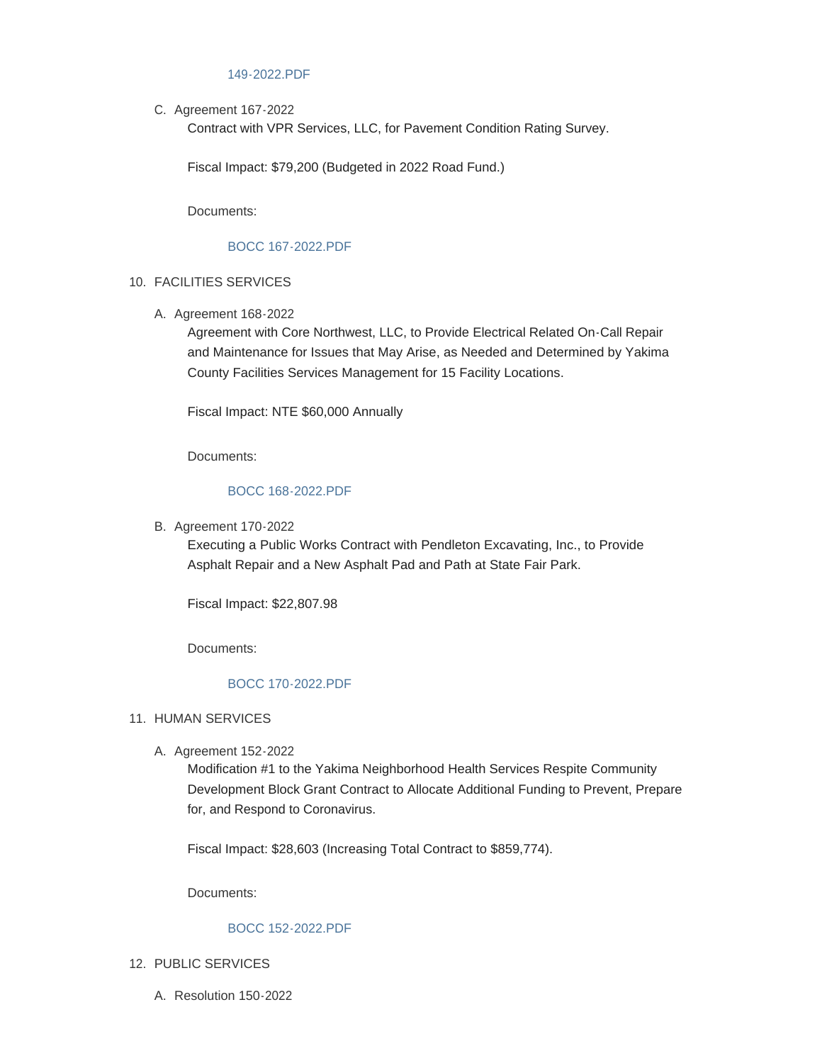## [149-2022.PDF](https://www.yakimacounty.us/AgendaCenter/ViewFile/Item/4569?fileID=16257)

C. Agreement 167-2022

Contract with VPR Services, LLC, for Pavement Condition Rating Survey.

Fiscal Impact: \$79,200 (Budgeted in 2022 Road Fund.)

Documents:

## [BOCC 167-2022.PDF](https://www.yakimacounty.us/AgendaCenter/ViewFile/Item/4576?fileID=16264)

- FACILITIES SERVICES 10.
	- A. Agreement 168-2022

Agreement with Core Northwest, LLC, to Provide Electrical Related On-Call Repair and Maintenance for Issues that May Arise, as Needed and Determined by Yakima County Facilities Services Management for 15 Facility Locations.

Fiscal Impact: NTE \$60,000 Annually

Documents:

### [BOCC 168-2022.PDF](https://www.yakimacounty.us/AgendaCenter/ViewFile/Item/4577?fileID=16265)

B. Agreement 170-2022

Executing a Public Works Contract with Pendleton Excavating, Inc., to Provide Asphalt Repair and a New Asphalt Pad and Path at State Fair Park.

Fiscal Impact: \$22,807.98

Documents:

# [BOCC 170-2022.PDF](https://www.yakimacounty.us/AgendaCenter/ViewFile/Item/4579?fileID=16267)

#### 11. HUMAN SERVICES

A. Agreement 152-2022

Modification #1 to the Yakima Neighborhood Health Services Respite Community Development Block Grant Contract to Allocate Additional Funding to Prevent, Prepare for, and Respond to Coronavirus.

Fiscal Impact: \$28,603 (Increasing Total Contract to \$859,774).

Documents:

#### [BOCC 152-2022.PDF](https://www.yakimacounty.us/AgendaCenter/ViewFile/Item/4580?fileID=16268)

- 12. PUBLIC SERVICES
	- Resolution 150-2022 A.